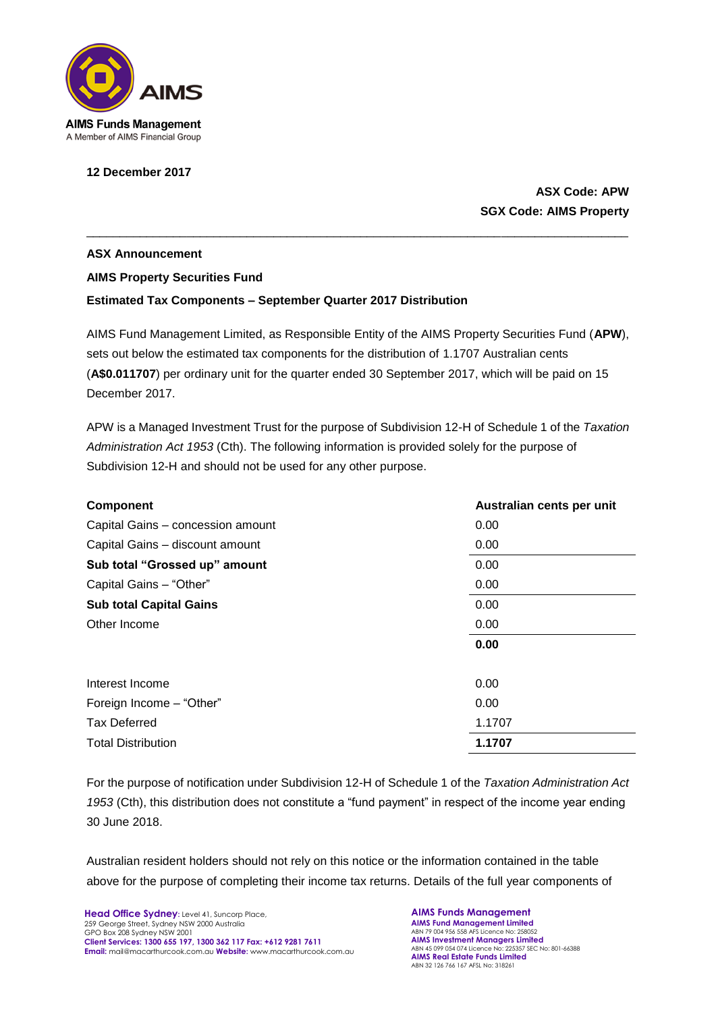

## **12 December 2017**

## **ASX Code: APW SGX Code: AIMS Property**

## **ASX Announcement AIMS Property Securities Fund Estimated Tax Components – September Quarter 2017 Distribution**

AIMS Fund Management Limited, as Responsible Entity of the AIMS Property Securities Fund (**APW**), sets out below the estimated tax components for the distribution of 1.1707 Australian cents (**A\$0.011707**) per ordinary unit for the quarter ended 30 September 2017, which will be paid on 15 December 2017.

\_\_\_\_\_\_\_\_\_\_\_\_\_\_\_\_\_\_\_\_\_\_\_\_\_\_\_\_\_\_\_\_\_\_\_\_\_\_\_\_\_\_\_\_\_\_\_\_\_\_\_\_\_\_\_\_\_\_\_\_\_\_\_\_\_\_\_\_\_\_\_\_\_\_\_\_\_\_\_\_\_

APW is a Managed Investment Trust for the purpose of Subdivision 12-H of Schedule 1 of the *Taxation Administration Act 1953* (Cth). The following information is provided solely for the purpose of Subdivision 12-H and should not be used for any other purpose.

| <b>Component</b>                  | Australian cents per unit |
|-----------------------------------|---------------------------|
| Capital Gains - concession amount | 0.00                      |
| Capital Gains - discount amount   | 0.00                      |
| Sub total "Grossed up" amount     | 0.00                      |
| Capital Gains - "Other"           | 0.00                      |
| <b>Sub total Capital Gains</b>    | 0.00                      |
| Other Income                      | 0.00                      |
|                                   | 0.00                      |
| Interest Income                   | 0.00                      |
| Foreign Income - "Other"          | 0.00                      |
| <b>Tax Deferred</b>               | 1.1707                    |
| <b>Total Distribution</b>         | 1.1707                    |

For the purpose of notification under Subdivision 12-H of Schedule 1 of the *Taxation Administration Act 1953* (Cth), this distribution does not constitute a "fund payment" in respect of the income year ending 30 June 2018.

Australian resident holders should not rely on this notice or the information contained in the table above for the purpose of completing their income tax returns. Details of the full year components of